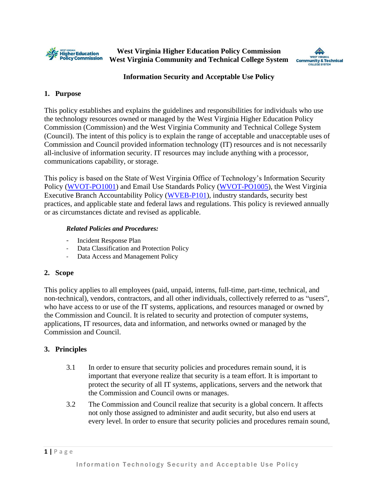

**West Virginia Higher Education Policy Commission West Virginia Community and Technical College System**



### **Information Security and Acceptable Use Policy**

#### **1. Purpose**

This policy establishes and explains the guidelines and responsibilities for individuals who use the technology resources owned or managed by the West Virginia Higher Education Policy Commission (Commission) and the West Virginia Community and Technical College System (Council). The intent of this policy is to explain the range of acceptable and unacceptable uses of Commission and Council provided information technology (IT) resources and is not necessarily all-inclusive of information security. IT resources may include anything with a processor, communications capability, or storage.

This policy is based on the State of West Virginia Office of Technology's Information Security Policy [\(WVOT-PO1001\)](https://technology.wv.gov/SiteCollectionDocuments/Policies%20Issued%20by%20the%20CTO/2019/PO1001_Security_Mar2019.pdf) and Email Use Standards Policy [\(WVOT-PO1005\)](https://technology.wv.gov/SiteCollectionDocuments/Policies%20Issued%20by%20the%20CTO/2019/PO1005_EmailUse_Mar2019.pdf), the West Virginia Executive Branch Accountability Policy [\(WVEB-P101\)](https://privacy.wv.gov/SiteCollectionDocuments/Privacy%20Policies/1%20Accountability%20Policy%20WVEB-P101Rev%204.12.pdf), industry standards, security best practices, and applicable state and federal laws and regulations. This policy is reviewed annually or as circumstances dictate and revised as applicable.

#### *Related Policies and Procedures:*

- Incident Response Plan
- Data Classification and Protection Policy
- Data Access and Management Policy

#### **2. Scope**

This policy applies to all employees (paid, unpaid, interns, full-time, part-time, technical, and non-technical), vendors, contractors, and all other individuals, collectively referred to as "users", who have access to or use of the IT systems, applications, and resources managed or owned by the Commission and Council. It is related to security and protection of computer systems, applications, IT resources, data and information, and networks owned or managed by the Commission and Council.

#### **3. Principles**

- 3.1 In order to ensure that security policies and procedures remain sound, it is important that everyone realize that security is a team effort. It is important to protect the security of all IT systems, applications, servers and the network that the Commission and Council owns or manages.
- 3.2 The Commission and Council realize that security is a global concern. It affects not only those assigned to administer and audit security, but also end users at every level. In order to ensure that security policies and procedures remain sound,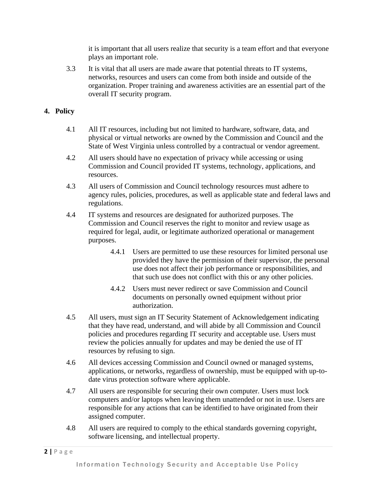it is important that all users realize that security is a team effort and that everyone plays an important role.

3.3 It is vital that all users are made aware that potential threats to IT systems, networks, resources and users can come from both inside and outside of the organization. Proper training and awareness activities are an essential part of the overall IT security program.

### **4. Policy**

- 4.1 All IT resources, including but not limited to hardware, software, data, and physical or virtual networks are owned by the Commission and Council and the State of West Virginia unless controlled by a contractual or vendor agreement.
- 4.2 All users should have no expectation of privacy while accessing or using Commission and Council provided IT systems, technology, applications, and resources.
- 4.3 All users of Commission and Council technology resources must adhere to agency rules, policies, procedures, as well as applicable state and federal laws and regulations.
- 4.4 IT systems and resources are designated for authorized purposes. The Commission and Council reserves the right to monitor and review usage as required for legal, audit, or legitimate authorized operational or management purposes.
	- 4.4.1 Users are permitted to use these resources for limited personal use provided they have the permission of their supervisor, the personal use does not affect their job performance or responsibilities, and that such use does not conflict with this or any other policies.
	- 4.4.2 Users must never redirect or save Commission and Council documents on personally owned equipment without prior authorization.
- 4.5 All users, must sign an IT Security Statement of Acknowledgement indicating that they have read, understand, and will abide by all Commission and Council policies and procedures regarding IT security and acceptable use. Users must review the policies annually for updates and may be denied the use of IT resources by refusing to sign.
- 4.6 All devices accessing Commission and Council owned or managed systems, applications, or networks, regardless of ownership, must be equipped with up-todate virus protection software where applicable.
- 4.7 All users are responsible for securing their own computer. Users must lock computers and/or laptops when leaving them unattended or not in use. Users are responsible for any actions that can be identified to have originated from their assigned computer.
- 4.8 All users are required to comply to the ethical standards governing copyright, software licensing, and intellectual property.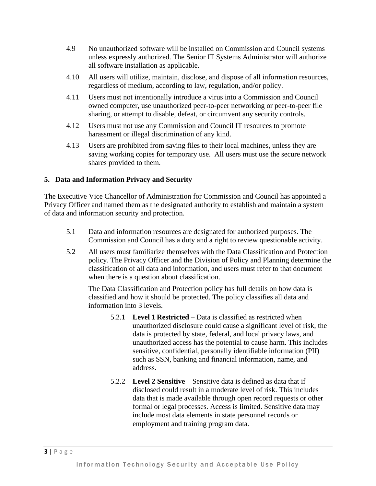- 4.9 No unauthorized software will be installed on Commission and Council systems unless expressly authorized. The Senior IT Systems Administrator will authorize all software installation as applicable.
- 4.10 All users will utilize, maintain, disclose, and dispose of all information resources, regardless of medium, according to law, regulation, and/or policy.
- 4.11 Users must not intentionally introduce a virus into a Commission and Council owned computer, use unauthorized peer-to-peer networking or peer-to-peer file sharing, or attempt to disable, defeat, or circumvent any security controls.
- 4.12 Users must not use any Commission and Council IT resources to promote harassment or illegal discrimination of any kind.
- 4.13 Users are prohibited from saving files to their local machines, unless they are saving working copies for temporary use. All users must use the secure network shares provided to them.

## <span id="page-2-0"></span>**5. Data and Information Privacy and Security**

The Executive Vice Chancellor of Administration for Commission and Council has appointed a Privacy Officer and named them as the designated authority to establish and maintain a system of data and information security and protection.

- 5.1 Data and information resources are designated for authorized purposes. The Commission and Council has a duty and a right to review questionable activity.
- 5.2 All users must familiarize themselves with the Data Classification and Protection policy. The Privacy Officer and the Division of Policy and Planning determine the classification of all data and information, and users must refer to that document when there is a question about classification.

The Data Classification and Protection policy has full details on how data is classified and how it should be protected. The policy classifies all data and information into 3 levels.

- 5.2.1 **Level 1 Restricted** Data is classified as restricted when unauthorized disclosure could cause a significant level of risk, the data is protected by state, federal, and local privacy laws, and unauthorized access has the potential to cause harm. This includes sensitive, confidential, personally identifiable information (PII) such as SSN, banking and financial information, name, and address.
- 5.2.2 **Level 2 Sensitive** Sensitive data is defined as data that if disclosed could result in a moderate level of risk. This includes data that is made available through open record requests or other formal or legal processes. Access is limited. Sensitive data may include most data elements in state personnel records or employment and training program data.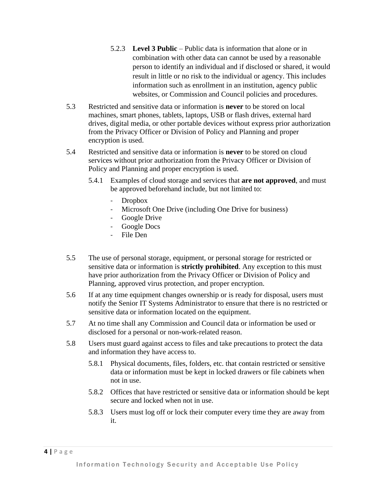- 5.2.3 **Level 3 Public** Public data is information that alone or in combination with other data can cannot be used by a reasonable person to identify an individual and if disclosed or shared, it would result in little or no risk to the individual or agency. This includes information such as enrollment in an institution, agency public websites, or Commission and Council policies and procedures.
- 5.3 Restricted and sensitive data or information is **never** to be stored on local machines, smart phones, tablets, laptops, USB or flash drives, external hard drives, digital media, or other portable devices without express prior authorization from the Privacy Officer or Division of Policy and Planning and proper encryption is used.
- 5.4 Restricted and sensitive data or information is **never** to be stored on cloud services without prior authorization from the Privacy Officer or Division of Policy and Planning and proper encryption is used.
	- 5.4.1 Examples of cloud storage and services that **are not approved**, and must be approved beforehand include, but not limited to:
		- Dropbox
		- Microsoft One Drive (including One Drive for business)
		- Google Drive
		- Google Docs
		- File Den
- 5.5 The use of personal storage, equipment, or personal storage for restricted or sensitive data or information is **strictly prohibited**. Any exception to this must have prior authorization from the Privacy Officer or Division of Policy and Planning, approved virus protection, and proper encryption.
- 5.6 If at any time equipment changes ownership or is ready for disposal, users must notify the Senior IT Systems Administrator to ensure that there is no restricted or sensitive data or information located on the equipment.
- 5.7 At no time shall any Commission and Council data or information be used or disclosed for a personal or non-work-related reason.
- 5.8 Users must guard against access to files and take precautions to protect the data and information they have access to.
	- 5.8.1 Physical documents, files, folders, etc. that contain restricted or sensitive data or information must be kept in locked drawers or file cabinets when not in use.
	- 5.8.2 Offices that have restricted or sensitive data or information should be kept secure and locked when not in use.
	- 5.8.3 Users must log off or lock their computer every time they are away from it.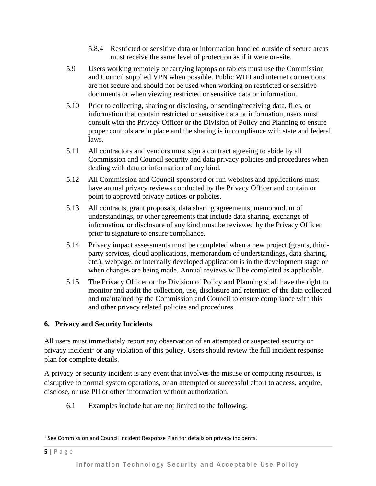- 5.8.4 Restricted or sensitive data or information handled outside of secure areas must receive the same level of protection as if it were on-site.
- 5.9 Users working remotely or carrying laptops or tablets must use the Commission and Council supplied VPN when possible. Public WIFI and internet connections are not secure and should not be used when working on restricted or sensitive documents or when viewing restricted or sensitive data or information.
- 5.10 Prior to collecting, sharing or disclosing, or sending/receiving data, files, or information that contain restricted or sensitive data or information, users must consult with the Privacy Officer or the Division of Policy and Planning to ensure proper controls are in place and the sharing is in compliance with state and federal laws.
- 5.11 All contractors and vendors must sign a contract agreeing to abide by all Commission and Council security and data privacy policies and procedures when dealing with data or information of any kind.
- 5.12 All Commission and Council sponsored or run websites and applications must have annual privacy reviews conducted by the Privacy Officer and contain or point to approved privacy notices or policies.
- 5.13 All contracts, grant proposals, data sharing agreements, memorandum of understandings, or other agreements that include data sharing, exchange of information, or disclosure of any kind must be reviewed by the Privacy Officer prior to signature to ensure compliance.
- 5.14 Privacy impact assessments must be completed when a new project (grants, thirdparty services, cloud applications, memorandum of understandings, data sharing, etc.), webpage, or internally developed application is in the development stage or when changes are being made. Annual reviews will be completed as applicable.
- 5.15 The Privacy Officer or the Division of Policy and Planning shall have the right to monitor and audit the collection, use, disclosure and retention of the data collected and maintained by the Commission and Council to ensure compliance with this and other privacy related policies and procedures.

# **6. Privacy and Security Incidents**

All users must immediately report any observation of an attempted or suspected security or privacy incident<sup>1</sup> or any violation of this policy. Users should review the full incident response plan for complete details.

A privacy or security incident is any event that involves the misuse or computing resources, is disruptive to normal system operations, or an attempted or successful effort to access, acquire, disclose, or use PII or other information without authorization.

6.1 Examples include but are not limited to the following:

<sup>&</sup>lt;sup>1</sup> See Commission and Council Incident Response Plan for details on privacy incidents.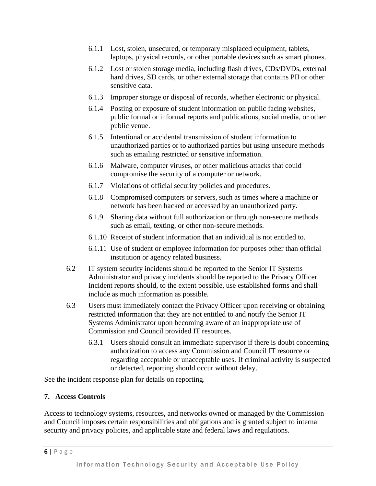- 6.1.1 Lost, stolen, unsecured, or temporary misplaced equipment, tablets, laptops, physical records, or other portable devices such as smart phones.
- 6.1.2 Lost or stolen storage media, including flash drives, CDs/DVDs, external hard drives, SD cards, or other external storage that contains PII or other sensitive data.
- 6.1.3 Improper storage or disposal of records, whether electronic or physical.
- 6.1.4 Posting or exposure of student information on public facing websites, public formal or informal reports and publications, social media, or other public venue.
- 6.1.5 Intentional or accidental transmission of student information to unauthorized parties or to authorized parties but using unsecure methods such as emailing restricted or sensitive information.
- 6.1.6 Malware, computer viruses, or other malicious attacks that could compromise the security of a computer or network.
- 6.1.7 Violations of official security policies and procedures.
- 6.1.8 Compromised computers or servers, such as times where a machine or network has been hacked or accessed by an unauthorized party.
- 6.1.9 Sharing data without full authorization or through non-secure methods such as email, texting, or other non-secure methods.
- 6.1.10 Receipt of student information that an individual is not entitled to.
- 6.1.11 Use of student or employee information for purposes other than official institution or agency related business.
- 6.2 IT system security incidents should be reported to the Senior IT Systems Administrator and privacy incidents should be reported to the Privacy Officer. Incident reports should, to the extent possible, use established forms and shall include as much information as possible.
- 6.3 Users must immediately contact the Privacy Officer upon receiving or obtaining restricted information that they are not entitled to and notify the Senior IT Systems Administrator upon becoming aware of an inappropriate use of Commission and Council provided IT resources.
	- 6.3.1 Users should consult an immediate supervisor if there is doubt concerning authorization to access any Commission and Council IT resource or regarding acceptable or unacceptable uses. If criminal activity is suspected or detected, reporting should occur without delay.

See the incident response plan for details on reporting.

## **7. Access Controls**

Access to technology systems, resources, and networks owned or managed by the Commission and Council imposes certain responsibilities and obligations and is granted subject to internal security and privacy policies, and applicable state and federal laws and regulations.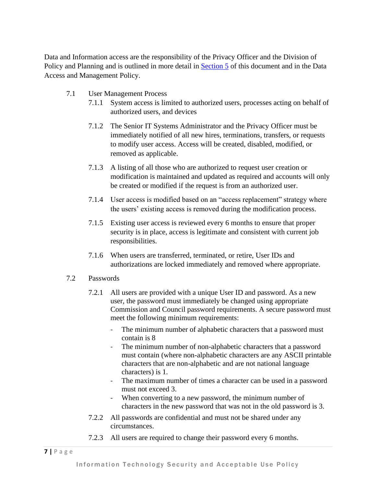Data and Information access are the responsibility of the Privacy Officer and the Division of Policy and Planning and is outlined in more detail in [Section 5](#page-2-0) of this document and in the Data Access and Management Policy.

- 7.1 User Management Process
	- 7.1.1 System access is limited to authorized users, processes acting on behalf of authorized users, and devices
	- 7.1.2 The Senior IT Systems Administrator and the Privacy Officer must be immediately notified of all new hires, terminations, transfers, or requests to modify user access. Access will be created, disabled, modified, or removed as applicable.
	- 7.1.3 A listing of all those who are authorized to request user creation or modification is maintained and updated as required and accounts will only be created or modified if the request is from an authorized user.
	- 7.1.4 User access is modified based on an "access replacement" strategy where the users' existing access is removed during the modification process.
	- 7.1.5 Existing user access is reviewed every 6 months to ensure that proper security is in place, access is legitimate and consistent with current job responsibilities.
	- 7.1.6 When users are transferred, terminated, or retire, User IDs and authorizations are locked immediately and removed where appropriate.
- 7.2 Passwords
	- 7.2.1 All users are provided with a unique User ID and password. As a new user, the password must immediately be changed using appropriate Commission and Council password requirements. A secure password must meet the following minimum requirements:
		- The minimum number of alphabetic characters that a password must contain is 8
		- The minimum number of non-alphabetic characters that a password must contain (where non-alphabetic characters are any ASCII printable characters that are non-alphabetic and are not national language characters) is 1.
		- The maximum number of times a character can be used in a password must not exceed 3.
		- When converting to a new password, the minimum number of characters in the new password that was not in the old password is 3.
	- 7.2.2 All passwords are confidential and must not be shared under any circumstances.
	- 7.2.3 All users are required to change their password every 6 months.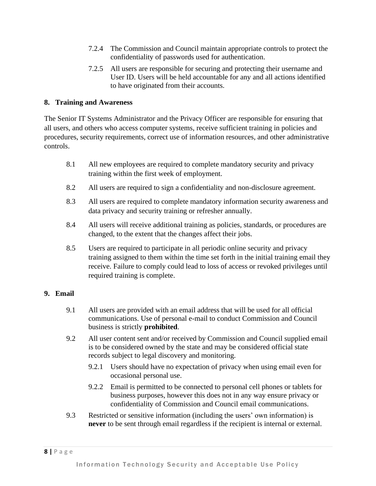- 7.2.4 The Commission and Council maintain appropriate controls to protect the confidentiality of passwords used for authentication.
- 7.2.5 All users are responsible for securing and protecting their username and User ID. Users will be held accountable for any and all actions identified to have originated from their accounts.

### **8. Training and Awareness**

The Senior IT Systems Administrator and the Privacy Officer are responsible for ensuring that all users, and others who access computer systems, receive sufficient training in policies and procedures, security requirements, correct use of information resources, and other administrative controls.

- 8.1 All new employees are required to complete mandatory security and privacy training within the first week of employment.
- 8.2 All users are required to sign a confidentiality and non-disclosure agreement.
- 8.3 All users are required to complete mandatory information security awareness and data privacy and security training or refresher annually.
- 8.4 All users will receive additional training as policies, standards, or procedures are changed, to the extent that the changes affect their jobs.
- 8.5 Users are required to participate in all periodic online security and privacy training assigned to them within the time set forth in the initial training email they receive. Failure to comply could lead to loss of access or revoked privileges until required training is complete.

#### **9. Email**

- 9.1 All users are provided with an email address that will be used for all official communications. Use of personal e-mail to conduct Commission and Council business is strictly **prohibited**.
- 9.2 All user content sent and/or received by Commission and Council supplied email is to be considered owned by the state and may be considered official state records subject to legal discovery and monitoring.
	- 9.2.1 Users should have no expectation of privacy when using email even for occasional personal use.
	- 9.2.2 Email is permitted to be connected to personal cell phones or tablets for business purposes, however this does not in any way ensure privacy or confidentiality of Commission and Council email communications.
- 9.3 Restricted or sensitive information (including the users' own information) is **never** to be sent through email regardless if the recipient is internal or external.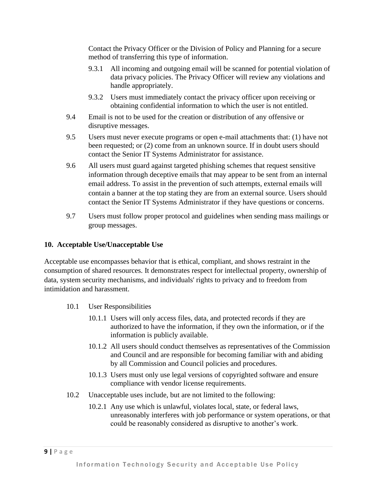Contact the Privacy Officer or the Division of Policy and Planning for a secure method of transferring this type of information.

- 9.3.1 All incoming and outgoing email will be scanned for potential violation of data privacy policies. The Privacy Officer will review any violations and handle appropriately.
- 9.3.2 Users must immediately contact the privacy officer upon receiving or obtaining confidential information to which the user is not entitled.
- 9.4 Email is not to be used for the creation or distribution of any offensive or disruptive messages.
- 9.5 Users must never execute programs or open e-mail attachments that: (1) have not been requested; or (2) come from an unknown source. If in doubt users should contact the Senior IT Systems Administrator for assistance.
- 9.6 All users must guard against targeted phishing schemes that request sensitive information through deceptive emails that may appear to be sent from an internal email address. To assist in the prevention of such attempts, external emails will contain a banner at the top stating they are from an external source. Users should contact the Senior IT Systems Administrator if they have questions or concerns.
- 9.7 Users must follow proper protocol and guidelines when sending mass mailings or group messages.

## **10. Acceptable Use/Unacceptable Use**

Acceptable use encompasses behavior that is ethical, compliant, and shows restraint in the consumption of shared resources. It demonstrates respect for intellectual property, ownership of data, system security mechanisms, and individuals' rights to privacy and to freedom from intimidation and harassment.

- 10.1 User Responsibilities
	- 10.1.1 Users will only access files, data, and protected records if they are authorized to have the information, if they own the information, or if the information is publicly available.
	- 10.1.2 All users should conduct themselves as representatives of the Commission and Council and are responsible for becoming familiar with and abiding by all Commission and Council policies and procedures.
	- 10.1.3 Users must only use legal versions of copyrighted software and ensure compliance with vendor license requirements.
- 10.2 Unacceptable uses include, but are not limited to the following:
	- 10.2.1 Any use which is unlawful, violates local, state, or federal laws, unreasonably interferes with job performance or system operations, or that could be reasonably considered as disruptive to another's work.